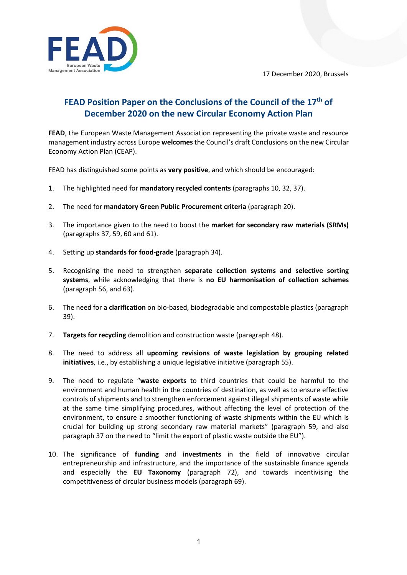17 December 2020, Brussels



## **FEAD Position Paper on the Conclusions of the Council of the 17th of December 2020 on the new Circular Economy Action Plan**

**FEAD**, the European Waste Management Association representing the private waste and resource management industry across Europe **welcomes**the Council's draft Conclusions on the new Circular Economy Action Plan (CEAP).

FEAD has distinguished some points as **very positive**, and which should be encouraged:

- 1. The highlighted need for **mandatory recycled contents** (paragraphs 10, 32, 37).
- 2. The need for **mandatory Green Public Procurement criteria** (paragraph 20).
- 3. The importance given to the need to boost the **market for secondary raw materials (SRMs)** (paragraphs 37, 59, 60 and 61).
- 4. Setting up **standards for food-grade** (paragraph 34).
- 5. Recognising the need to strengthen **separate collection systems and selective sorting systems**, while acknowledging that there is **no EU harmonisation of collection schemes** (paragraph 56, and 63).
- 6. The need for a **clarification** on bio-based, biodegradable and compostable plastics (paragraph 39).
- 7. **Targets for recycling** demolition and construction waste (paragraph 48).
- 8. The need to address all **upcoming revisions of waste legislation by grouping related initiatives**, i.e., by establishing a unique legislative initiative (paragraph 55).
- 9. The need to regulate "**waste exports** to third countries that could be harmful to the environment and human health in the countries of destination, as well as to ensure effective controls of shipments and to strengthen enforcement against illegal shipments of waste while at the same time simplifying procedures, without affecting the level of protection of the environment, to ensure a smoother functioning of waste shipments within the EU which is crucial for building up strong secondary raw material markets" (paragraph 59, and also paragraph 37 on the need to "limit the export of plastic waste outside the EU").
- 10. The significance of **funding** and **investments** in the field of innovative circular entrepreneurship and infrastructure, and the importance of the sustainable finance agenda and especially the **EU Taxonomy** (paragraph 72), and towards incentivising the competitiveness of circular business models (paragraph 69).